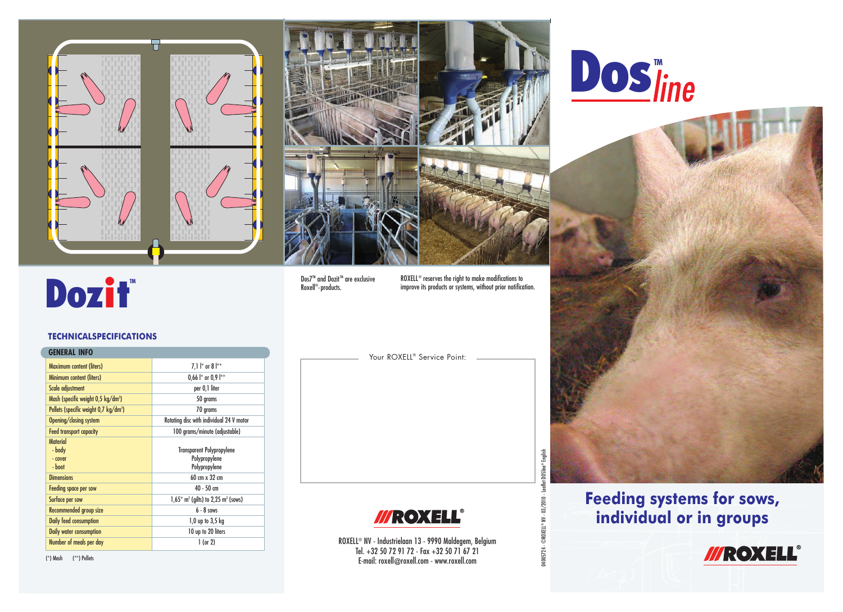



Dos7<sup>™</sup> and Dozit<sup>™</sup> are exclusive Roxell®-products.

ROXELL® reserves the right to make modifications to improve its products or systems, without prior notification.

04005724 - ©ROXELL® NV - 03/2010 - Leaflet DOSline® English

04005724-

©ROXELL® NV - 03/2010 - Leaflet DOSline® English

Your ROXELL<sup>®</sup> Service Point:



ROXELL® NV - Industrielaan 13 - 9990 Maldegem, Belgium Tel. +32 50 72 91 72 - Fax +32 50 71 67 21 E-mail: roxell@roxell.com - www.roxell.com

**Dos**Tine



**Feeding systems for sows, individual or in groups**



(\*) Mash (\*\*) Pellets

Material<br>- body

**TECHNICALSPECIFICATIONS**

Dozif<sup>®</sup>

Mash (specific weight 0,5 kg/dm<sup>3</sup>)

**GENERAL INFO**

Pellets (specific weight 0,7 kg/dm<sup>3</sup>)

Maximum content (liters) 7,1 l<sup>\*</sup> or 8 l<sup>\*\*</sup> Minimum content (liters) 0,66 l<sup>\*</sup> or 0,9 l<sup>\*\*</sup> Scale adjustment per 0,1 liter

Opening/closing system Rotating disc with individual 24 V motor Feed transport capacity 100 grams/minute (adjustable)

- cover Polypropylene<br>- boot Polypropylene Polypropylene Polypropylene<br>- Polypropylene Polypropylene

**Dimensions** 60 cm x 32 cm **Feeding space per sow 40 - 50 cm** Surface per sow  $1.65*$  m<sup>2</sup> (ailts) to  $2.25$  m<sup>2</sup> (sows) **Recommended group size 6 - 8 sows** Daily feed consumption and the consumption of the consumption of the consumption of the consumption of the consum of  $1,0$  up to  $3,5$  kg **Daily water consumption** 10 up to 20 liters Number of meals per day 1 (or 2)

) 50 grams

) 70 grams

Transparent Polypropylene

Polypropylene